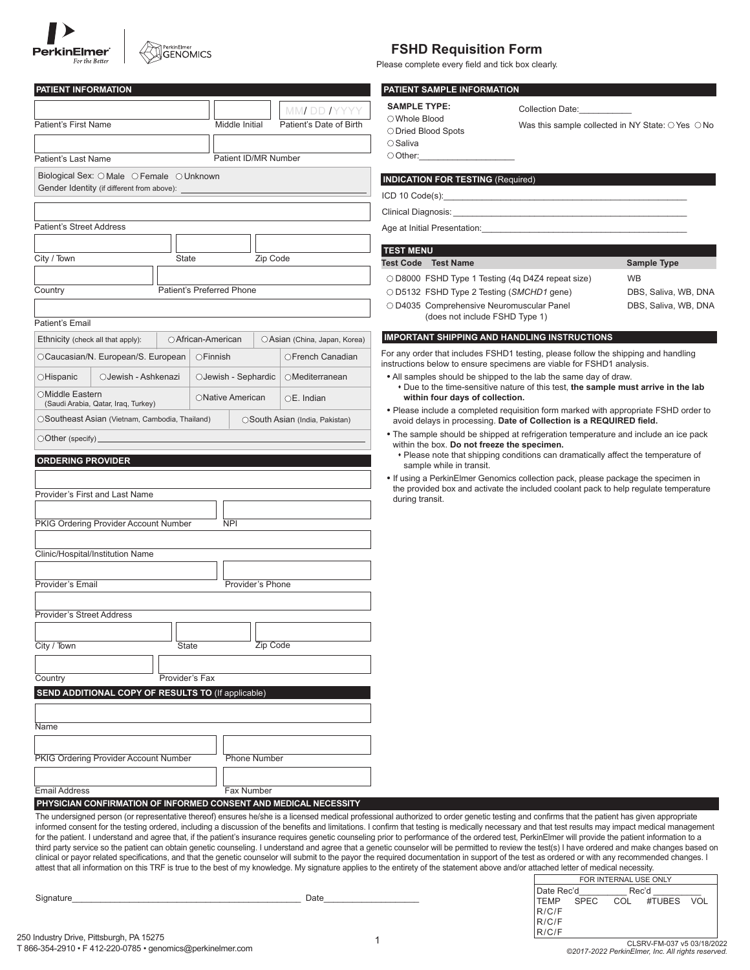| <b>PerkinElmer</b><br>For the Bette. |
|--------------------------------------|

# PerkinElmer<br>GENOMICS

| <b>PATIENT INFORMATION</b>                                       |                    |          |                     |                           |                      |                                 |
|------------------------------------------------------------------|--------------------|----------|---------------------|---------------------------|----------------------|---------------------------------|
|                                                                  |                    |          |                     |                           |                      | MM DD IYYYY                     |
| <b>Patient's First Name</b>                                      |                    |          |                     | Middle Initial            |                      | Patient's Date of Birth         |
|                                                                  |                    |          |                     |                           |                      |                                 |
| Patient's Last Name                                              |                    |          |                     |                           | Patient ID/MR Number |                                 |
| Biological Sex: O Male O Female O Unknown                        |                    |          |                     |                           |                      |                                 |
| Gender Identity (if different from above):                       |                    |          |                     |                           |                      |                                 |
|                                                                  |                    |          |                     |                           |                      |                                 |
| Patient's Street Address                                         |                    |          |                     |                           |                      |                                 |
|                                                                  |                    |          |                     |                           |                      |                                 |
| City / Town                                                      | State              |          |                     |                           | Zip Code             |                                 |
|                                                                  |                    |          |                     |                           |                      |                                 |
| Country                                                          |                    |          |                     | Patient's Preferred Phone |                      |                                 |
|                                                                  |                    |          |                     |                           |                      |                                 |
| Patient's Email                                                  |                    |          |                     |                           |                      |                                 |
| Ethnicity (check all that apply):                                | ○ African-American |          |                     |                           |                      | ○Asian (China, Japan, Korea)    |
| OCaucasian/N. European/S. European                               |                    | ○Finnish |                     |                           |                      | OFrench Canadian                |
| OJewish - Ashkenazi<br>○Hispanic                                 |                    |          |                     | OJewish - Sephardic       |                      | $O$ Mediterranean               |
| ○Middle Eastern                                                  |                    |          |                     |                           |                      |                                 |
| (Saudi Arabia, Qatar, Iraq, Turkey)                              |                    |          |                     | ○ Native American         |                      | $OE.$ Indian                    |
| OSoutheast Asian (Vietnam, Cambodia, Thailand)                   |                    |          |                     |                           |                      | ○ South Asian (India, Pakistan) |
| $\bigcirc$ Other (specify) $\_\_\_\_\_\_\_\$                     |                    |          |                     |                           |                      |                                 |
| <b>ORDERING PROVIDER</b>                                         |                    |          |                     |                           |                      |                                 |
|                                                                  |                    |          |                     |                           |                      |                                 |
| Provider's First and Last Name                                   |                    |          |                     |                           |                      |                                 |
|                                                                  |                    |          |                     |                           |                      |                                 |
| PKIG Ordering Provider Account Number                            |                    |          |                     | <b>NPI</b>                |                      |                                 |
|                                                                  |                    |          |                     |                           |                      |                                 |
| Clinic/Hospital/Institution Name                                 |                    |          |                     |                           |                      |                                 |
|                                                                  |                    |          |                     |                           |                      |                                 |
| Provider's Email                                                 |                    |          |                     |                           | Provider's Phone     |                                 |
| <b>Provider's Street Address</b>                                 |                    |          |                     |                           |                      |                                 |
|                                                                  |                    |          |                     |                           |                      |                                 |
| City / Town                                                      | State              |          |                     |                           | Zip Code             |                                 |
|                                                                  |                    |          |                     |                           |                      |                                 |
| Country                                                          | Provider's Fax     |          |                     |                           |                      |                                 |
| SEND ADDITIONAL COPY OF RESULTS TO (If applicable)               |                    |          |                     |                           |                      |                                 |
|                                                                  |                    |          |                     |                           |                      |                                 |
| Name                                                             |                    |          |                     |                           |                      |                                 |
|                                                                  |                    |          |                     |                           |                      |                                 |
| PKIG Ordering Provider Account Number                            |                    |          | <b>Phone Number</b> |                           |                      |                                 |
|                                                                  |                    |          |                     |                           |                      |                                 |
| <b>Email Address</b>                                             |                    |          |                     | Fax Number                |                      |                                 |
| PHYSICIAN CONFIRMATION OF INFORMED CONSENT AND MEDICAL NECESSITY |                    |          |                     |                           |                      |                                 |

### **FSHD Requisition Form**

Please complete every field and tick box clearly.

#### **PATIENT SAMPLE INFORMATION**

| <b>SAMPLE TYPE:</b>    |  |
|------------------------|--|
| $\bigcirc$ Whole Blood |  |
| ○ Dried Blood Spots    |  |
| $\bigcirc$ Saliva      |  |
| ○ Other:               |  |

Collection Date:

Was this sample collected in NY State:  $\bigcirc$  Yes  $\bigcirc$  No

### **INDICATION FOR TESTING** (Required)

ICD 10 Code(s):

Clinical Diagnosis:

Age at Initial Presentation:

| <b>TEST MENU</b> |                                                                                                |                                   |
|------------------|------------------------------------------------------------------------------------------------|-----------------------------------|
|                  | <b>Test Code</b> Test Name                                                                     | Sample Type                       |
|                  | ○ D8000 FSHD Type 1 Testing (4q D4Z4 repeat size)<br>○ D5132 FSHD Type 2 Testing (SMCHD1 gene) | <b>WB</b><br>DBS, Saliva, WB, DNA |
|                  | ○ D4035 Comprehensive Neuromuscular Panel<br>(does not include FSHD Type 1)                    | DBS, Saliva, WB, DNA              |

#### **IMPORTANT SHIPPING AND HANDLING INSTRUCTIONS**

For any order that includes FSHD1 testing, please follow the shipping and handling instructions below to ensure specimens are viable for FSHD1 analysis.

- All samples should be shipped to the lab the same day of draw. \* Due to the time-sensitive nature of this test, the sample must arrive in the lab **within four days of collection.**
- Please include a completed requisition form marked with appropriate FSHD order to avoid delays in processing. **Date of Collection is a REQUIRED field.**
- The sample should be shipped at refrigeration temperature and include an ice pack within the box. **Do not freeze the specimen.**
- Please note that shipping conditions can dramatically affect the temperature of sample while in transit.
- If using a PerkinElmer Genomics collection pack, please package the specimen in the provided box and activate the included coolant pack to help regulate temperature during transit.

FOR INTERNAL USE ONLY The undersigned person (or representative thereof) ensures he/she is a licensed medical professional authorized to order genetic testing and confirms that the patient has given appropriate informed consent for the testing ordered, including a discussion of the benefits and limitations. I confirm that testing is medically necessary and that test results may impact medical management for the patient. I understand and agree that, if the patient's insurance requires genetic counseling prior to performance of the ordered test, PerkinElmer will provide the patient information to a third party service so the patient can obtain genetic counseling. I understand and agree that a genetic counselor will be permitted to review the test(s) I have ordered and make changes based on clinical or payor related specifications, and that the genetic counselor will submit to the payor the required documentation in support of the test as ordered or with any recommended changes. I attest that all information on this TRF is true to the best of my knowledge. My signature applies to the entirety of the statement above and/or attached letter of medical necessity.

| Signature | ⊃ate |  |
|-----------|------|--|
|           |      |  |

|            |           | FUR INTERNAL USE UNLY |                |  |
|------------|-----------|-----------------------|----------------|--|
| Date Rec'd |           |                       | Rec'd          |  |
|            | TEMP SPEC |                       | COL #TUBES VOL |  |
| R/C/F      |           |                       |                |  |
| R/C/F      |           |                       |                |  |
| R/C/F      |           |                       |                |  |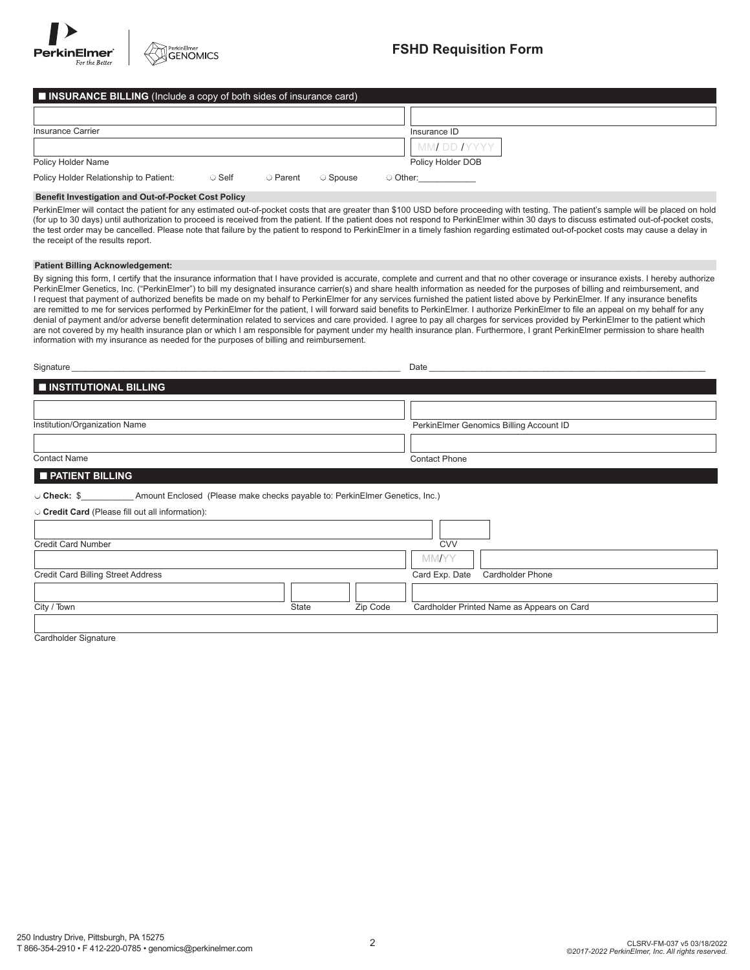

# Insurance Carrier **Insurance ID** Policy Holder Name Policy Holder DOB ■ **INSURANCE BILLING** (Include a copy of both sides of insurance card) MM/ DD /YYYY Policy Holder Relationship to Patient:  $\bigcirc$  Self  $\bigcirc$  Parent  $\bigcirc$  Spouse  $\bigcirc$  Other:

#### **Benefit Investigation and Out-of-Pocket Cost Policy**

PerkinElmer will contact the patient for any estimated out-of-pocket costs that are greater than \$100 USD before proceeding with testing. The patient's sample will be placed on hold (for up to 30 days) until authorization to proceed is received from the patient. If the patient does not respond to PerkinElmer within 30 days to discuss estimated out-of-pocket costs, the test order may be cancelled. Please note that failure by the patient to respond to PerkinElmer in a timely fashion regarding estimated out-of-pocket costs may cause a delay in the receipt of the results report.

#### **Patient Billing Acknowledgement:**

By signing this form, I certify that the insurance information that I have provided is accurate, complete and current and that no other coverage or insurance exists. I hereby authorize PerkinElmer Genetics, Inc. ("PerkinElmer") to bill my designated insurance carrier(s) and share health information as needed for the purposes of billing and reimbursement, and I request that payment of authorized benefits be made on my behalf to PerkinElmer for any services furnished the patient listed above by PerkinElmer. If any insurance benefits are remitted to me for services performed by PerkinElmer for the patient, I will forward said benefits to PerkinElmer. I authorize PerkinElmer to file an appeal on my behalf for any denial of payment and/or adverse benefit determination related to services and care provided. I agree to pay all charges for services provided by PerkinElmer to the patient which are not covered by my health insurance plan or which I am responsible for payment under my health insurance plan. Furthermore, I grant PerkinElmer permission to share health information with my insurance as needed for the purposes of billing and reimbursement.

| Signature                     | Date                                    |
|-------------------------------|-----------------------------------------|
| INSTITUTIONAL BILLING         |                                         |
|                               |                                         |
| Institution/Organization Name | PerkinElmer Genomics Billing Account ID |
|                               |                                         |
| <b>Contact Name</b>           | <b>Contact Phone</b>                    |

| I PATIENT BILLING |
|-------------------|
|-------------------|

#### l **Check:** \$\_\_\_\_\_\_\_\_\_\_\_ Amount Enclosed (Please make checks payable to: PerkinElmer Genetics, Inc.)

l **Credit Card** (Please fill out all information):

| $\sim$ order out of the case in out an information). |       |          |                                            |
|------------------------------------------------------|-------|----------|--------------------------------------------|
|                                                      |       |          |                                            |
| <b>Credit Card Number</b>                            |       |          | <b>CVV</b>                                 |
|                                                      |       |          | <b>MMAYY</b>                               |
| <b>Credit Card Billing Street Address</b>            |       |          | Card Exp. Date Cardholder Phone            |
|                                                      |       |          |                                            |
| City / Town                                          | State | Zip Code | Cardholder Printed Name as Appears on Card |
|                                                      |       |          |                                            |

Cardholder Signature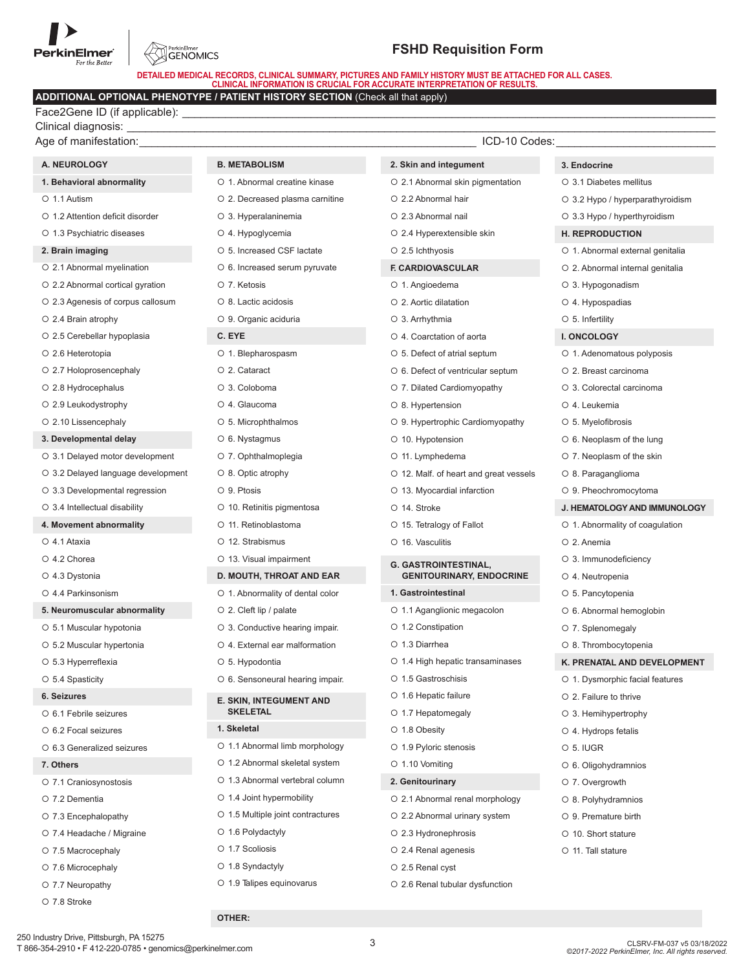# PerkinElmer® For the Better



## **FSHD Requisition Form**

**DETAILED MEDICAL RECORDS, CLINICAL SUMMARY, PICTURES AND FAMILY HISTORY MUST BE ATTACHED FOR ALL CASES. CLINICAL INFORMATION IS CRUCIAL FOR ACCURATE INTERPRETATION OF RESULTS.**

## **ADDITIONAL OPTIONAL PHENOTYPE / PATIENT HISTORY SECTION** (Check all that apply)

Face2Gene ID (if applicable): Clinical diagnosis: \_\_\_\_\_\_\_\_\_\_\_\_\_\_\_\_\_\_\_\_\_\_\_\_\_\_\_\_\_\_\_\_\_\_\_\_\_\_\_\_\_\_\_\_\_\_\_\_\_\_\_\_\_\_\_\_\_\_\_\_\_\_\_\_\_\_\_\_\_\_\_\_\_\_\_\_\_\_\_\_\_\_\_\_\_\_\_\_\_\_\_\_\_\_\_\_

| Age of manifestation:              |                                   | ICD-10 Codes:                          |                                  |
|------------------------------------|-----------------------------------|----------------------------------------|----------------------------------|
| A. NEUROLOGY                       | <b>B. METABOLISM</b>              | 2. Skin and integument                 | 3. Endocrine                     |
| 1. Behavioral abnormality          | O 1. Abnormal creatine kinase     | O 2.1 Abnormal skin pigmentation       | ○ 3.1 Diabetes mellitus          |
| O 1.1 Autism                       | O 2. Decreased plasma carnitine   | O 2.2 Abnormal hair                    | ○ 3.2 Hypo / hyperparathyroidism |
| O 1.2 Attention deficit disorder   | O 3. Hyperalaninemia              | O 2.3 Abnormal nail                    | ○ 3.3 Hypo / hyperthyroidism     |
| O 1.3 Psychiatric diseases         | O 4. Hypoglycemia                 | ○ 2.4 Hyperextensible skin             | <b>H. REPRODUCTION</b>           |
| 2. Brain imaging                   | ○ 5. Increased CSF lactate        | O 2.5 lchthyosis                       | O 1. Abnormal external genitalia |
| O 2.1 Abnormal myelination         | O 6. Increased serum pyruvate     | F. CARDIOVASCULAR                      | O 2. Abnormal internal genitalia |
| ○ 2.2 Abnormal cortical gyration   | O 7. Ketosis                      | O 1. Angioedema                        | O 3. Hypogonadism                |
| O 2.3 Agenesis of corpus callosum  | O 8. Lactic acidosis              | ○ 2. Aortic dilatation                 | O 4. Hypospadias                 |
| ○ 2.4 Brain atrophy                | O 9. Organic aciduria             | O 3. Arrhythmia                        | $\circ$ 5. Infertility           |
| O 2.5 Cerebellar hypoplasia        | C. EYE                            | O 4. Coarctation of aorta              | <b>I. ONCOLOGY</b>               |
| O 2.6 Heterotopia                  | O 1. Blepharospasm                | ○ 5. Defect of atrial septum           | O 1. Adenomatous polyposis       |
| O 2.7 Holoprosencephaly            | O 2. Cataract                     | O 6. Defect of ventricular septum      | O 2. Breast carcinoma            |
| O 2.8 Hydrocephalus                | O 3. Coloboma                     | O 7. Dilated Cardiomyopathy            | O 3. Colorectal carcinoma        |
| ○ 2.9 Leukodystrophy               | O 4. Glaucoma                     | ○ 8. Hypertension                      | O 4. Leukemia                    |
| O 2.10 Lissencephaly               | ○ 5. Microphthalmos               | O 9. Hypertrophic Cardiomyopathy       | O 5. Myelofibrosis               |
| 3. Developmental delay             | O 6. Nystagmus                    | O 10. Hypotension                      | $\circ$ 6. Neoplasm of the lung  |
| O 3.1 Delayed motor development    | O 7. Ophthalmoplegia              | O 11. Lymphedema                       | O 7. Neoplasm of the skin        |
| O 3.2 Delayed language development | ○ 8. Optic atrophy                | O 12. Malf. of heart and great vessels | O 8. Paraganglioma               |
| O 3.3 Developmental regression     | O 9. Ptosis                       | O 13. Myocardial infarction            | O 9. Pheochromocytoma            |
| ○ 3.4 Intellectual disability      | O 10. Retinitis pigmentosa        | O 14. Stroke                           | J. HEMATOLOGY AND IMMUNOLOGY     |
| 4. Movement abnormality            | O 11. Retinoblastoma              | O 15. Tetralogy of Fallot              | O 1. Abnormality of coagulation  |
| O 4.1 Ataxia                       | O 12. Strabismus                  | O 16. Vasculitis                       | O 2. Anemia                      |
| O 4.2 Chorea                       | O 13. Visual impairment           | <b>G. GASTROINTESTINAL,</b>            | O 3. Immunodeficiency            |
| O 4.3 Dystonia                     | D. MOUTH, THROAT AND EAR          | <b>GENITOURINARY, ENDOCRINE</b>        | O 4. Neutropenia                 |
| O 4.4 Parkinsonism                 | O 1. Abnormality of dental color  | 1. Gastrointestinal                    | O 5. Pancytopenia                |
| 5. Neuromuscular abnormality       | $\circ$ 2. Cleft lip / palate     | O 1.1 Aganglionic megacolon            | O 6. Abnormal hemoglobin         |
| O 5.1 Muscular hypotonia           | O 3. Conductive hearing impair.   | O 1.2 Constipation                     | O 7. Splenomegaly                |
| O 5.2 Muscular hypertonia          | O 4. External ear malformation    | O 1.3 Diarrhea                         | O 8. Thrombocytopenia            |
| ○ 5.3 Hyperreflexia                | O 5. Hypodontia                   | O 1.4 High hepatic transaminases       | K. PRENATAL AND DEVELOPMENT      |
| O 5.4 Spasticity                   | O 6. Sensoneural hearing impair.  | O 1.5 Gastroschisis                    | O 1. Dysmorphic facial features  |
| 6. Seizures                        | E. SKIN, INTEGUMENT AND           | O 1.6 Hepatic failure                  | ○ 2. Failure to thrive           |
| O 6.1 Febrile seizures             | <b>SKELETAL</b>                   | O 1.7 Hepatomegaly                     | O 3. Hemihypertrophy             |
| O 6.2 Focal seizures               | 1. Skeletal                       | O 1.8 Obesity                          | O 4. Hydrops fetalis             |
| O 6.3 Generalized seizures         | O 1.1 Abnormal limb morphology    | O 1.9 Pyloric stenosis                 | O 5. IUGR                        |
| 7. Others                          | O 1.2 Abnormal skeletal system    | O 1.10 Vomiting                        | O 6. Oligohydramnios             |
| O 7.1 Craniosynostosis             | O 1.3 Abnormal vertebral column   | 2. Genitourinary                       | O 7. Overgrowth                  |
| O 7.2 Dementia                     | ○ 1.4 Joint hypermobility         | O 2.1 Abnormal renal morphology        | $\circ$ 8. Polyhydramnios        |
| ○ 7.3 Encephalopathy               | ○ 1.5 Multiple joint contractures | O 2.2 Abnormal urinary system          | ○ 9. Premature birth             |
| ○ 7.4 Headache / Migraine          | O 1.6 Polydactyly                 | O 2.3 Hydronephrosis                   | ○ 10. Short stature              |
| ○ 7.5 Macrocephaly                 | O 1.7 Scoliosis                   | ○ 2.4 Renal agenesis                   | O 11. Tall stature               |
| ○ 7.6 Microcephaly                 | O 1.8 Syndactyly                  | O 2.5 Renal cyst                       |                                  |
| O 7.7 Neuropathy                   | O 1.9 Talipes equinovarus         | O 2.6 Renal tubular dysfunction        |                                  |
| O 7.8 Stroke                       |                                   |                                        |                                  |

#### 250 Industry Drive, Pittsburgh, PA 15275 T 866-354-2910 • F 412-220-0785 • genomics@perkinelmer.com

**OTHER:**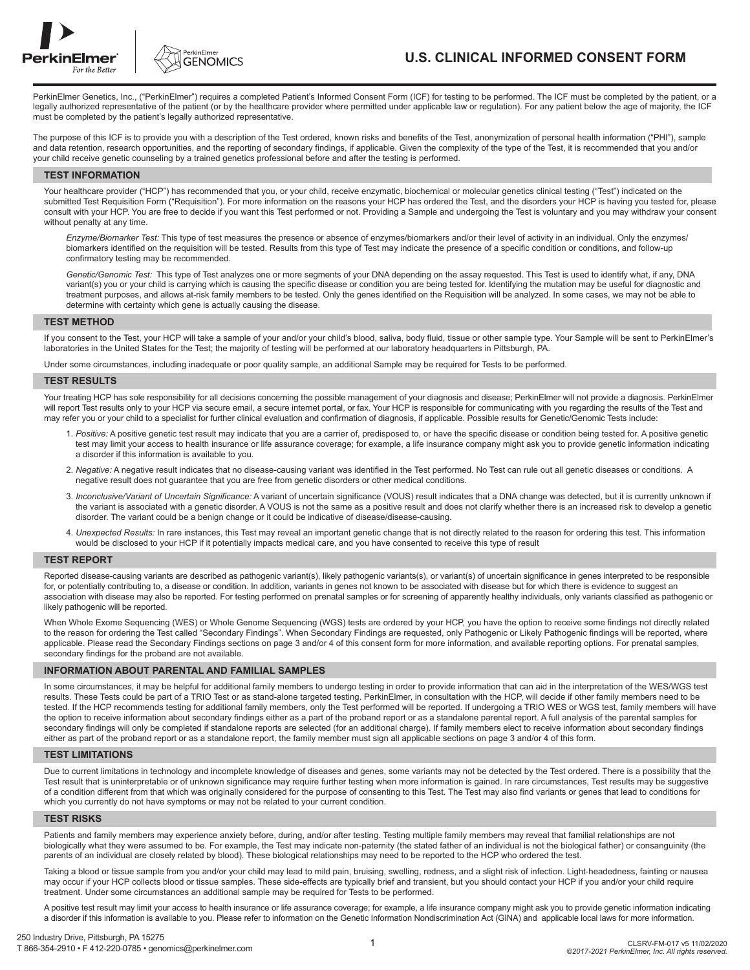



## **U.S. CLINICAL INFORMED CONSENT FORM**

PerkinElmer Genetics, Inc., ("PerkinElmer") requires a completed Patient's Informed Consent Form (ICF) for testing to be performed. The ICF must be completed by the patient, or a legally authorized representative of the patient (or by the healthcare provider where permitted under applicable law or regulation). For any patient below the age of majority, the ICF must be completed by the patient's legally authorized representative.

The purpose of this ICF is to provide you with a description of the Test ordered, known risks and benefits of the Test, anonymization of personal health information ("PHI"), sample and data retention, research opportunities, and the reporting of secondary findings, if applicable. Given the complexity of the type of the Test, it is recommended that you and/or your child receive genetic counseling by a trained genetics professional before and after the testing is performed.

#### **TEST INFORMATION**

Your healthcare provider ("HCP") has recommended that you, or your child, receive enzymatic, biochemical or molecular genetics clinical testing ("Test") indicated on the submitted Test Requisition Form ("Requisition"). For more information on the reasons your HCP has ordered the Test, and the disorders your HCP is having you tested for, please consult with your HCP. You are free to decide if you want this Test performed or not. Providing a Sample and undergoing the Test is voluntary and you may withdraw your consent without penalty at any time.

 *Enzyme/Biomarker Test:* This type of test measures the presence or absence of enzymes/biomarkers and/or their level of activity in an individual. Only the enzymes/ biomarkers identified on the requisition will be tested. Results from this type of Test may indicate the presence of a specific condition or conditions, and follow-up confirmatory testing may be recommended.

 *Genetic/Genomic Test:* This type of Test analyzes one or more segments of your DNA depending on the assay requested. This Test is used to identify what, if any, DNA variant(s) you or your child is carrying which is causing the specific disease or condition you are being tested for. Identifying the mutation may be useful for diagnostic and treatment purposes, and allows at-risk family members to be tested. Only the genes identified on the Requisition will be analyzed. In some cases, we may not be able to determine with certainty which gene is actually causing the disease.

#### **TEST METHOD**

If you consent to the Test, your HCP will take a sample of your and/or your child's blood, saliva, body fluid, tissue or other sample type. Your Sample will be sent to PerkinElmer's laboratories in the United States for the Test; the majority of testing will be performed at our laboratory headquarters in Pittsburgh, PA.

Under some circumstances, including inadequate or poor quality sample, an additional Sample may be required for Tests to be performed.

#### **TEST RESULTS**

Your treating HCP has sole responsibility for all decisions concerning the possible management of your diagnosis and disease; PerkinElmer will not provide a diagnosis. PerkinElmer will report Test results only to your HCP via secure email, a secure internet portal, or fax. Your HCP is responsible for communicating with you regarding the results of the Test and may refer you or your child to a specialist for further clinical evaluation and confirmation of diagnosis, if applicable. Possible results for Genetic/Genomic Tests include:

- 1. *Positive:* A positive genetic test result may indicate that you are a carrier of, predisposed to, or have the specific disease or condition being tested for. A positive genetic test may limit your access to health insurance or life assurance coverage; for example, a life insurance company might ask you to provide genetic information indicating a disorder if this information is available to you.
- 2. *Negative:* A negative result indicates that no disease-causing variant was identified in the Test performed. No Test can rule out all genetic diseases or conditions. A negative result does not guarantee that you are free from genetic disorders or other medical conditions.
- 3. *Inconclusive/Variant of Uncertain Significance:* A variant of uncertain significance (VOUS) result indicates that a DNA change was detected, but it is currently unknown if the variant is associated with a genetic disorder. A VOUS is not the same as a positive result and does not clarify whether there is an increased risk to develop a genetic disorder. The variant could be a benign change or it could be indicative of disease/disease-causing.
- 4. *Unexpected Results:* In rare instances, this Test may reveal an important genetic change that is not directly related to the reason for ordering this test. This information would be disclosed to your HCP if it potentially impacts medical care, and you have consented to receive this type of result

#### **TEST REPORT**

Reported disease-causing variants are described as pathogenic variant(s), likely pathogenic variant(s) or variant(s) of uncertain significance in genes interpreted to be responsible for, or potentially contributing to, a disease or condition. In addition, variants in genes not known to be associated with disease but for which there is evidence to suggest an association with disease may also be reported. For testing performed on prenatal samples or for screening of apparently healthy individuals, only variants classified as pathogenic or likely pathogenic will be reported.

When Whole Exome Sequencing (WES) or Whole Genome Sequencing (WGS) tests are ordered by your HCP, you have the option to receive some findings not directly related to the reason for ordering the Test called "Secondary Findings". When Secondary Findings are requested, only Pathogenic or Likely Pathogenic findings will be reported, where applicable. Please read the Secondary Findings sections on page 3 and/or 4 of this consent form for more information, and available reporting options. For prenatal samples, secondary findings for the proband are not available.

#### **INFORMATION ABOUT PARENTAL AND FAMILIAL SAMPLES**

In some circumstances, it may be helpful for additional family members to undergo testing in order to provide information that can aid in the interpretation of the WES/WGS test results. These Tests could be part of a TRIO Test or as stand-alone targeted testing. PerkinElmer, in consultation with the HCP, will decide if other family members need to be tested. If the HCP recommends testing for additional family members, only the Test performed will be reported. If undergoing a TRIO WES or WGS test, family members will have the option to receive information about secondary findings either as a part of the proband report or as a standalone parental report. A full analysis of the parental samples for secondary findings will only be completed if standalone reports are selected (for an additional charge). If family members elect to receive information about secondary findings either as part of the proband report or as a standalone report, the family member must sign all applicable sections on page 3 and/or 4 of this form.

#### **TEST LIMITATIONS**

Due to current limitations in technology and incomplete knowledge of diseases and genes, some variants may not be detected by the Test ordered. There is a possibility that the Test result that is uninterpretable or of unknown significance may require further testing when more information is gained. In rare circumstances, Test results may be suggestive of a condition different from that which was originally considered for the purpose of consenting to this Test. The Test may also find variants or genes that lead to conditions for which you currently do not have symptoms or may not be related to your current condition.

#### **TEST RISKS**

Patients and family members may experience anxiety before, during, and/or after testing. Testing multiple family members may reveal that familial relationships are not biologically what they were assumed to be. For example, the Test may indicate non-paternity (the stated father of an individual is not the biological father) or consanguinity (the parents of an individual are closely related by blood). These biological relationships may need to be reported to the HCP who ordered the test.

Taking a blood or tissue sample from you and/or your child may lead to mild pain, bruising, swelling, redness, and a slight risk of infection. Light-headedness, fainting or nausea may occur if your HCP collects blood or tissue samples. These side-effects are typically brief and transient, but you should contact your HCP if you and/or your child require treatment. Under some circumstances an additional sample may be required for Tests to be performed.

A positive test result may limit your access to health insurance or life assurance coverage; for example, a life insurance company might ask you to provide genetic information indicating a disorder if this information is available to you. Please refer to information on the Genetic Information Nondiscrimination Act (GINA) and applicable local laws for more information.